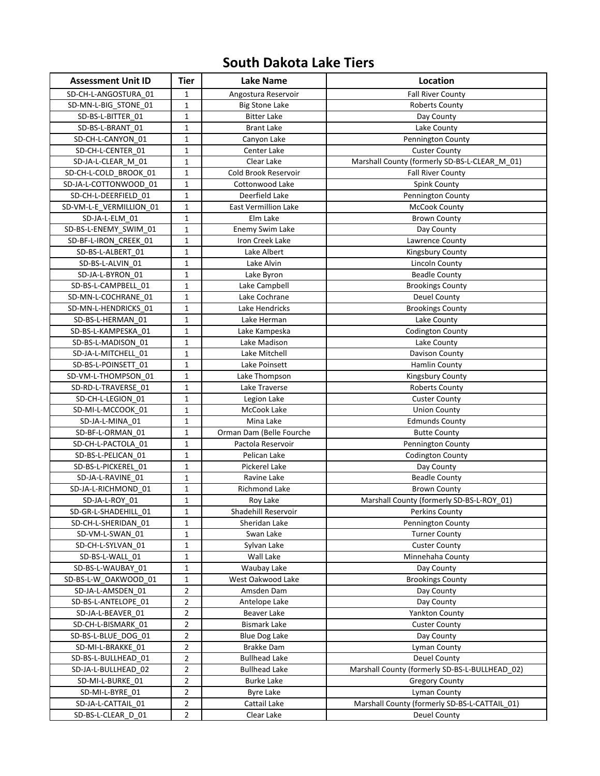## **South Dakota Lake Tiers**

| <b>Assessment Unit ID</b>                | <b>Tier</b>             | <b>Lake Name</b>              | Location                                       |
|------------------------------------------|-------------------------|-------------------------------|------------------------------------------------|
| SD-CH-L-ANGOSTURA_01                     | 1                       | Angostura Reservoir           | <b>Fall River County</b>                       |
| SD-MN-L-BIG_STONE_01                     | $\mathbf 1$             | <b>Big Stone Lake</b>         | Roberts County                                 |
| SD-BS-L-BITTER 01                        | 1                       | <b>Bitter Lake</b>            | Day County                                     |
| SD-BS-L-BRANT 01                         | $\mathbf 1$             | <b>Brant Lake</b>             | Lake County                                    |
| SD-CH-L-CANYON 01                        | 1                       | Canyon Lake                   | Pennington County                              |
| SD-CH-L-CENTER 01                        | 1                       | Center Lake                   | <b>Custer County</b>                           |
| SD-JA-L-CLEAR M 01                       | $\mathbf 1$             | Clear Lake                    | Marshall County (formerly SD-BS-L-CLEAR_M_01)  |
| SD-CH-L-COLD BROOK 01                    | 1                       | Cold Brook Reservoir          | Fall River County                              |
| SD-JA-L-COTTONWOOD 01                    | 1                       | Cottonwood Lake               | Spink County                                   |
| SD-CH-L-DEERFIELD 01                     | 1                       | Deerfield Lake                | Pennington County                              |
| SD-VM-L-E VERMILLION 01                  | 1                       | East Vermillion Lake          | McCook County                                  |
| SD-JA-L-ELM_01                           | 1                       | Elm Lake                      | <b>Brown County</b>                            |
| SD-BS-L-ENEMY_SWIM_01                    | $\mathbf{1}$            | Enemy Swim Lake               | Day County                                     |
| SD-BF-L-IRON_CREEK_01                    | $\mathbf 1$             | Iron Creek Lake               | Lawrence County                                |
| SD-BS-L-ALBERT 01                        | $\mathbf 1$             | Lake Albert                   | Kingsbury County                               |
| SD-BS-L-ALVIN 01                         | 1                       | Lake Alvin                    | Lincoln County                                 |
| SD-JA-L-BYRON 01                         | $\mathbf 1$             | Lake Byron                    | <b>Beadle County</b>                           |
| SD-BS-L-CAMPBELL 01                      | $\mathbf 1$             | Lake Campbell                 | <b>Brookings County</b>                        |
| SD-MN-L-COCHRANE_01                      | 1                       | Lake Cochrane                 | <b>Deuel County</b>                            |
| SD-MN-L-HENDRICKS 01                     | 1                       | Lake Hendricks                | <b>Brookings County</b>                        |
| SD-BS-L-HERMAN 01                        | 1                       | Lake Herman                   | Lake County                                    |
| SD-BS-L-KAMPESKA 01                      | 1                       | Lake Kampeska                 | <b>Codington County</b>                        |
| SD-BS-L-MADISON 01                       | 1                       | Lake Madison                  | Lake County                                    |
| SD-JA-L-MITCHELL 01                      | 1                       | Lake Mitchell                 | Davison County                                 |
| SD-BS-L-POINSETT_01                      | $\mathbf 1$             | Lake Poinsett                 | <b>Hamlin County</b>                           |
| SD-VM-L-THOMPSON 01                      | $\mathbf 1$             | Lake Thompson                 | Kingsbury County                               |
| SD-RD-L-TRAVERSE 01                      | 1                       | Lake Traverse                 | <b>Roberts County</b>                          |
| SD-CH-L-LEGION 01                        | $\mathbf 1$             | Legion Lake                   | <b>Custer County</b>                           |
| SD-MI-L-MCCOOK 01                        | $\mathbf 1$             | McCook Lake                   | <b>Union County</b>                            |
| SD-JA-L-MINA_01                          | $\mathbf 1$             | Mina Lake                     | <b>Edmunds County</b>                          |
| SD-BF-L-ORMAN_01                         | 1                       | Orman Dam (Belle Fourche      | <b>Butte County</b>                            |
| SD-CH-L-PACTOLA 01                       | 1                       | Pactola Reservoir             | Pennington County                              |
| SD-BS-L-PELICAN 01                       | 1<br>1                  | Pelican Lake<br>Pickerel Lake | <b>Codington County</b>                        |
| SD-BS-L-PICKEREL 01<br>SD-JA-L-RAVINE 01 | 1                       | Ravine Lake                   | Day County<br><b>Beadle County</b>             |
| SD-JA-L-RICHMOND 01                      | $\mathbf 1$             | Richmond Lake                 | <b>Brown County</b>                            |
| SD-JA-L-ROY_01                           | $\mathbf 1$             | Roy Lake                      | Marshall County (formerly SD-BS-L-ROY_01)      |
| SD-GR-L-SHADEHILL_01                     | $\mathbf 1$             | Shadehill Reservoir           | <b>Perkins County</b>                          |
| SD-CH-L-SHERIDAN 01                      | $\mathbf 1$             | Sheridan Lake                 | Pennington County                              |
| SD-VM-L-SWAN 01                          | 1                       | Swan Lake                     | <b>Turner County</b>                           |
| SD-CH-L-SYLVAN 01                        | 1                       | Sylvan Lake                   | <b>Custer County</b>                           |
| SD-BS-L-WALL 01                          | 1                       | Wall Lake                     | Minnehaha County                               |
| SD-BS-L-WAUBAY 01                        | 1                       | Waubay Lake                   | Day County                                     |
| SD-BS-L-W_OAKWOOD_01                     | 1                       | West Oakwood Lake             | <b>Brookings County</b>                        |
| SD-JA-L-AMSDEN 01                        | 2                       | Amsden Dam                    | Day County                                     |
| SD-BS-L-ANTELOPE 01                      | 2                       | Antelope Lake                 | Day County                                     |
| SD-JA-L-BEAVER 01                        | 2                       | Beaver Lake                   | Yankton County                                 |
| SD-CH-L-BISMARK 01                       | 2                       | Bismark Lake                  | <b>Custer County</b>                           |
| SD-BS-L-BLUE DOG 01                      | 2                       | <b>Blue Dog Lake</b>          | Day County                                     |
| SD-MI-L-BRAKKE_01                        | 2                       | <b>Brakke Dam</b>             | Lyman County                                   |
| SD-BS-L-BULLHEAD 01                      | $\overline{\mathbf{c}}$ | <b>Bullhead Lake</b>          | <b>Deuel County</b>                            |
| SD-JA-L-BULLHEAD 02                      | 2                       | <b>Bullhead Lake</b>          | Marshall County (formerly SD-BS-L-BULLHEAD_02) |
| SD-MI-L-BURKE 01                         | 2                       | Burke Lake                    | <b>Gregory County</b>                          |
| SD-MI-L-BYRE 01                          | 2                       | Byre Lake                     | Lyman County                                   |
| SD-JA-L-CATTAIL 01                       | 2                       | Cattail Lake                  | Marshall County (formerly SD-BS-L-CATTAIL_01)  |
| SD-BS-L-CLEAR D 01                       | 2                       | Clear Lake                    | <b>Deuel County</b>                            |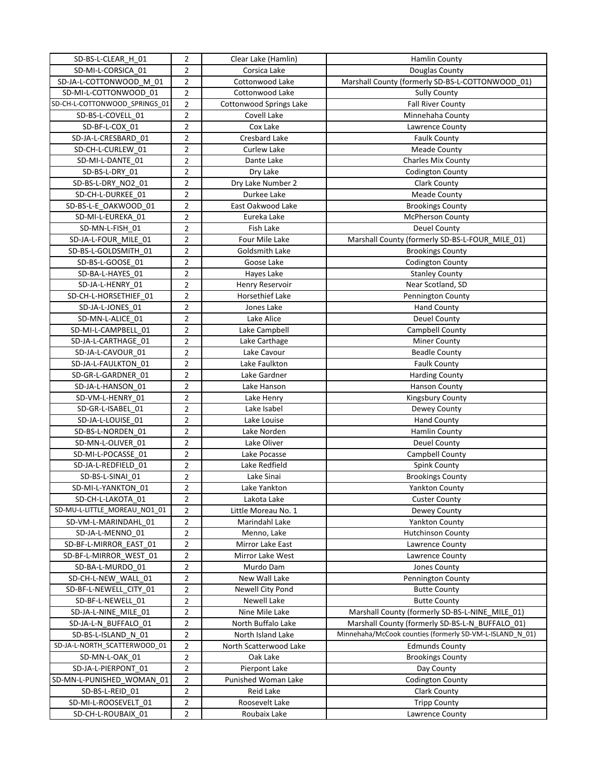| SD-BS-L-CLEAR_H_01            | $\overline{2}$          | Clear Lake (Hamlin)     | <b>Hamlin County</b>                                     |
|-------------------------------|-------------------------|-------------------------|----------------------------------------------------------|
| SD-MI-L-CORSICA_01            | $\overline{2}$          | Corsica Lake            | Douglas County                                           |
| SD-JA-L-COTTONWOOD M 01       | $\overline{2}$          | Cottonwood Lake         | Marshall County (formerly SD-BS-L-COTTONWOOD_01)         |
| SD-MI-L-COTTONWOOD 01         | $\overline{2}$          | Cottonwood Lake         | <b>Sully County</b>                                      |
| SD-CH-L-COTTONWOOD_SPRINGS_01 | $\overline{2}$          | Cottonwood Springs Lake | <b>Fall River County</b>                                 |
| SD-BS-L-COVELL_01             | $\overline{2}$          | Covell Lake             | Minnehaha County                                         |
| SD-BF-L-COX 01                | $\overline{2}$          | Cox Lake                | Lawrence County                                          |
| SD-JA-L-CRESBARD 01           | $\overline{\mathbf{c}}$ | Cresbard Lake           | <b>Faulk County</b>                                      |
| SD-CH-L-CURLEW 01             | $\overline{2}$          | Curlew Lake             | Meade County                                             |
| SD-MI-L-DANTE 01              | 2                       | Dante Lake              | <b>Charles Mix County</b>                                |
| SD-BS-L-DRY 01                | 2                       | Dry Lake                | <b>Codington County</b>                                  |
| SD-BS-L-DRY NO2 01            | 2                       | Dry Lake Number 2       | Clark County                                             |
| SD-CH-L-DURKEE_01             | 2                       | Durkee Lake             | <b>Meade County</b>                                      |
| SD-BS-L-E_OAKWOOD_01          | 2                       | East Oakwood Lake       | <b>Brookings County</b>                                  |
| SD-MI-L-EUREKA_01             | $\overline{2}$          | Eureka Lake             | McPherson County                                         |
| SD-MN-L-FISH 01               | 2                       | Fish Lake               | Deuel County                                             |
| SD-JA-L-FOUR MILE 01          | $\overline{2}$          | Four Mile Lake          | Marshall County (formerly SD-BS-L-FOUR_MILE_01)          |
| SD-BS-L-GOLDSMITH 01          | $\overline{2}$          | Goldsmith Lake          | <b>Brookings County</b>                                  |
| SD-BS-L-GOOSE 01              | $\overline{\mathbf{c}}$ | Goose Lake              | <b>Codington County</b>                                  |
| SD-BA-L-HAYES 01              | $\overline{\mathbf{c}}$ | Hayes Lake              | <b>Stanley County</b>                                    |
| SD-JA-L-HENRY 01              | $\overline{2}$          | Henry Reservoir         | Near Scotland, SD                                        |
| SD-CH-L-HORSETHIEF_01         | 2                       | Horsethief Lake         | Pennington County                                        |
| SD-JA-L-JONES 01              | 2                       | Jones Lake              | Hand County                                              |
| SD-MN-L-ALICE 01              | 2                       | Lake Alice              | <b>Deuel County</b>                                      |
| SD-MI-L-CAMPBELL_01           | 2                       | Lake Campbell           | Campbell County                                          |
| SD-JA-L-CARTHAGE 01           | $\overline{2}$          | Lake Carthage           | <b>Miner County</b>                                      |
| SD-JA-L-CAVOUR 01             | $\overline{2}$          | Lake Cavour             | <b>Beadle County</b>                                     |
| SD-JA-L-FAULKTON 01           | $\overline{2}$          | Lake Faulkton           | <b>Faulk County</b>                                      |
| SD-GR-L-GARDNER 01            | $\overline{2}$          | Lake Gardner            | <b>Harding County</b>                                    |
| SD-JA-L-HANSON 01             | 2                       | Lake Hanson             | <b>Hanson County</b>                                     |
| SD-VM-L-HENRY 01              | $\overline{2}$          | Lake Henry              | Kingsbury County                                         |
| SD-GR-L-ISABEL 01             | $\overline{2}$          | Lake Isabel             | Dewey County                                             |
| SD-JA-L-LOUISE 01             | $\overline{\mathbf{c}}$ | Lake Louise             | <b>Hand County</b>                                       |
| SD-BS-L-NORDEN 01             | $\overline{2}$          | Lake Norden             | <b>Hamlin County</b>                                     |
| SD-MN-L-OLIVER 01             | $\overline{2}$          | Lake Oliver             | <b>Deuel County</b>                                      |
| SD-MI-L-POCASSE 01            | 2                       | Lake Pocasse            | Campbell County                                          |
| SD-JA-L-REDFIELD 01           | 2                       | Lake Redfield           | <b>Spink County</b>                                      |
| SD-BS-L-SINAI 01              | 2                       | Lake Sinai              | <b>Brookings County</b>                                  |
| SD-MI-L-YANKTON 01            | $\overline{2}$          | Lake Yankton            | <b>Yankton County</b>                                    |
| SD-CH-L-LAKOTA_01             | $\overline{2}$          | Lakota Lake             | <b>Custer County</b>                                     |
| SD-MU-L-LITTLE_MOREAU_NO1_01  | $\overline{2}$          | Little Moreau No. 1     | Dewey County                                             |
| SD-VM-L-MARINDAHL 01          | $\overline{2}$          | Marindahl Lake          | Yankton County                                           |
| SD-JA-L-MENNO 01              | $\overline{2}$          | Menno, Lake             | <b>Hutchinson County</b>                                 |
| SD-BF-L-MIRROR EAST 01        | 2                       | Mirror Lake East        | Lawrence County                                          |
| SD-BF-L-MIRROR WEST 01        | $\overline{2}$          | Mirror Lake West        | Lawrence County                                          |
| SD-BA-L-MURDO 01              | $\overline{2}$          | Murdo Dam               | Jones County                                             |
| SD-CH-L-NEW_WALL_01           | 2                       | New Wall Lake           | Pennington County                                        |
| SD-BF-L-NEWELL CITY 01        | 2                       | Newell City Pond        | <b>Butte County</b>                                      |
| SD-BF-L-NEWELL 01             | 2                       | Newell Lake             | <b>Butte County</b>                                      |
| SD-JA-L-NINE MILE 01          | 2                       | Nine Mile Lake          | Marshall County (formerly SD-BS-L-NINE_MILE_01)          |
| SD-JA-L-N_BUFFALO_01          | 2                       | North Buffalo Lake      | Marshall County (formerly SD-BS-L-N_BUFFALO_01)          |
| SD-BS-L-ISLAND N 01           | $\overline{\mathbf{c}}$ | North Island Lake       | Minnehaha/McCook counties (formerly SD-VM-L-ISLAND_N_01) |
| SD-JA-L-NORTH_SCATTERWOOD_01  | $\overline{2}$          | North Scatterwood Lake  | <b>Edmunds County</b>                                    |
| SD-MN-L-OAK 01                | $\overline{2}$          | Oak Lake                | <b>Brookings County</b>                                  |
| SD-JA-L-PIERPONT 01           | $\overline{2}$          | Pierpont Lake           | Day County                                               |
| SD-MN-L-PUNISHED_WOMAN_01     | $\overline{2}$          | Punished Woman Lake     | Codington County                                         |
| SD-BS-L-REID_01               | $\overline{2}$          | Reid Lake               | Clark County                                             |
| SD-MI-L-ROOSEVELT_01          |                         | Roosevelt Lake          | <b>Tripp County</b>                                      |
| SD-CH-L-ROUBAIX 01            | 2<br>2                  | Roubaix Lake            | Lawrence County                                          |
|                               |                         |                         |                                                          |